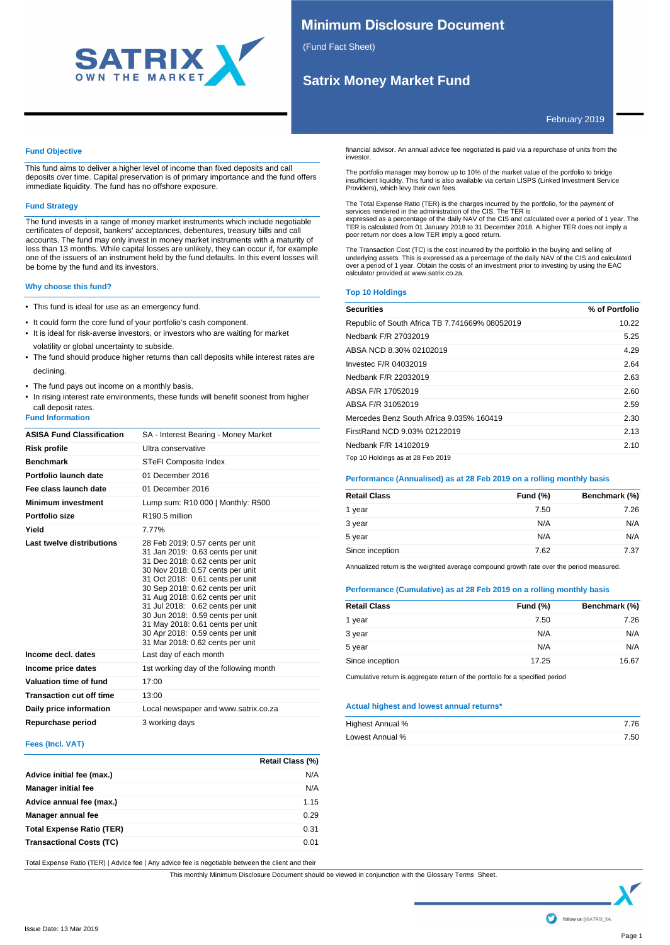

# **Minimum Disclosure Document**

(Fund Fact Sheet)

investor.

# **Satrix Money Market Fund**

Providers), which levy their own fees.

poor return nor does a low TER imply a good return.

February 2019

# **Fund Objective**

This fund aims to deliver a higher level of income than fixed deposits and call deposits over time. Capital preservation is of primary importance and the fund offers immediate liquidity. The fund has no offshore exposure.

# **Fund Strategy**

The fund invests in a range of money market instruments which include negotiable certificates of deposit, bankers' acceptances, debentures, treasury bills and call accounts. The fund may only invest in money market instruments with a maturity of less than 13 months. While capital losses are unlikely, they can occur if, for example one of the issuers of an instrument held by the fund defaults. In this event losses will be borne by the fund and its investors.

# **Why choose this fund?**

- This fund is ideal for use as an emergency fund.
- It could form the core fund of your portfolio's cash component.
- It is ideal for risk-averse investors, or investors who are waiting for market volatility or global uncertainty to subside.
- The fund should produce higher returns than call deposits while interest rates are declining.
- The fund pays out income on a monthly basis.
- In rising interest rate environments, these funds will benefit soonest from higher call deposit rates.

# **Fund Information**

| <b>ASISA Fund Classification</b> | SA - Interest Bearing - Money Market                                                                                                                                                                                                                                                                                                                                                                                                         |
|----------------------------------|----------------------------------------------------------------------------------------------------------------------------------------------------------------------------------------------------------------------------------------------------------------------------------------------------------------------------------------------------------------------------------------------------------------------------------------------|
| <b>Risk profile</b>              | Ultra conservative                                                                                                                                                                                                                                                                                                                                                                                                                           |
| <b>Benchmark</b>                 | STeFI Composite Index                                                                                                                                                                                                                                                                                                                                                                                                                        |
| Portfolio launch date            | 01 December 2016                                                                                                                                                                                                                                                                                                                                                                                                                             |
| Fee class launch date            | 01 December 2016                                                                                                                                                                                                                                                                                                                                                                                                                             |
| <b>Minimum investment</b>        | Lump sum: R10 000   Monthly: R500                                                                                                                                                                                                                                                                                                                                                                                                            |
| Portfolio size                   | R <sub>190</sub> 5 million                                                                                                                                                                                                                                                                                                                                                                                                                   |
| Yield                            | 7.77%                                                                                                                                                                                                                                                                                                                                                                                                                                        |
| Last twelve distributions        | 28 Feb 2019: 0.57 cents per unit<br>31 Jan 2019: 0.63 cents per unit<br>31 Dec 2018: 0.62 cents per unit<br>30 Nov 2018: 0.57 cents per unit<br>31 Oct 2018: 0.61 cents per unit<br>30 Sep 2018: 0.62 cents per unit<br>31 Aug 2018: 0.62 cents per unit<br>31 Jul 2018: 0.62 cents per unit<br>30 Jun 2018: 0.59 cents per unit<br>31 May 2018: 0.61 cents per unit<br>30 Apr 2018: 0.59 cents per unit<br>31 Mar 2018: 0.62 cents per unit |
| Income decl. dates               | Last day of each month                                                                                                                                                                                                                                                                                                                                                                                                                       |
| Income price dates               | 1st working day of the following month                                                                                                                                                                                                                                                                                                                                                                                                       |
| Valuation time of fund           | 17:00                                                                                                                                                                                                                                                                                                                                                                                                                                        |
| <b>Transaction cut off time</b>  | 13:00                                                                                                                                                                                                                                                                                                                                                                                                                                        |
| Daily price information          | Local newspaper and www.satrix.co.za                                                                                                                                                                                                                                                                                                                                                                                                         |
| Repurchase period                | 3 working days                                                                                                                                                                                                                                                                                                                                                                                                                               |

# **Fees (Incl. VAT)**

|                                  | Retail Class (%) |
|----------------------------------|------------------|
| Advice initial fee (max.)        | N/A              |
| <b>Manager initial fee</b>       | N/A              |
| Advice annual fee (max.)         | 1.15             |
| Manager annual fee               | 0.29             |
| <b>Total Expense Ratio (TER)</b> | 0.31             |
| <b>Transactional Costs (TC)</b>  | 0.01             |

Total Expense Ratio (TER) | Advice fee | Any advice fee is negotiable between the client and their

This monthly Minimum Disclosure Document should be viewed in conjunction with the Glossary Terms Sheet.

over a period of 1 year. Obtain the costs of an investment prior to investing by using the EAC calculator provided at www.satrix.co.za.

**Top 10 Holdings**

| <b>Securities</b>                              | % of Portfolio |
|------------------------------------------------|----------------|
| Republic of South Africa TB 7.741669% 08052019 | 10.22          |
| Nedbank F/R 27032019                           | 5.25           |
| ABSA NCD 8.30% 02102019                        | 4.29           |
| Investec F/R 04032019                          | 2.64           |
| Nedbank F/R 22032019                           | 2.63           |
| ABSA F/R 17052019                              | 2.60           |
| ABSA F/R 31052019                              | 2.59           |
| Mercedes Benz South Africa 9.035% 160419       | 2.30           |
| FirstRand NCD 9.03% 02122019                   | 2.13           |
| Nedbank F/R 14102019                           | 2.10           |
| Top 10 Holdings as at 28 Feb 2019              |                |

financial advisor. An annual advice fee negotiated is paid via a repurchase of units from the

The portfolio manager may borrow up to 10% of the market value of the portfolio to bridge insufficient liquidity. This fund is also available via certain LISPS (Linked Investment Service

The Total Expense Ratio (TER) is the charges incurred by the portfolio, for the payment of<br>services rendered in the administration of the CIS. The TER is<br>expressed as a percentage of the daily NAV of the CIS and calculated TER is calculated from 01 January 2018 to 31 December 2018. A higher TER does not imply a

The Transaction Cost (TC) is the cost incurred by the portfolio in the buying and selling of underlying assets. This is expressed as a percentage of the daily NAV of the CIS and calculated

# **Performance (Annualised) as at 28 Feb 2019 on a rolling monthly basis**

| <b>Retail Class</b> | Fund $(\%)$ | Benchmark (%) |
|---------------------|-------------|---------------|
| 1 year              | 7.50        | 7.26          |
| 3 year              | N/A         | N/A           |
| 5 year              | N/A         | N/A           |
| Since inception     | 7.62        | 7.37          |

Annualized return is the weighted average compound growth rate over the period measured.

# **Performance (Cumulative) as at 28 Feb 2019 on a rolling monthly basis**

| <b>Fund (%)</b> | Benchmark (%) |
|-----------------|---------------|
| 7.50            | 7.26          |
| N/A             | N/A           |
| N/A             | N/A           |
| 17.25           | 16.67         |
|                 |               |

Cumulative return is aggregate return of the portfolio for a specified period

# **Actual highest and lowest annual returns\***

| Highest Annual % | 7.76 |
|------------------|------|
| Lowest Annual %  | 7.50 |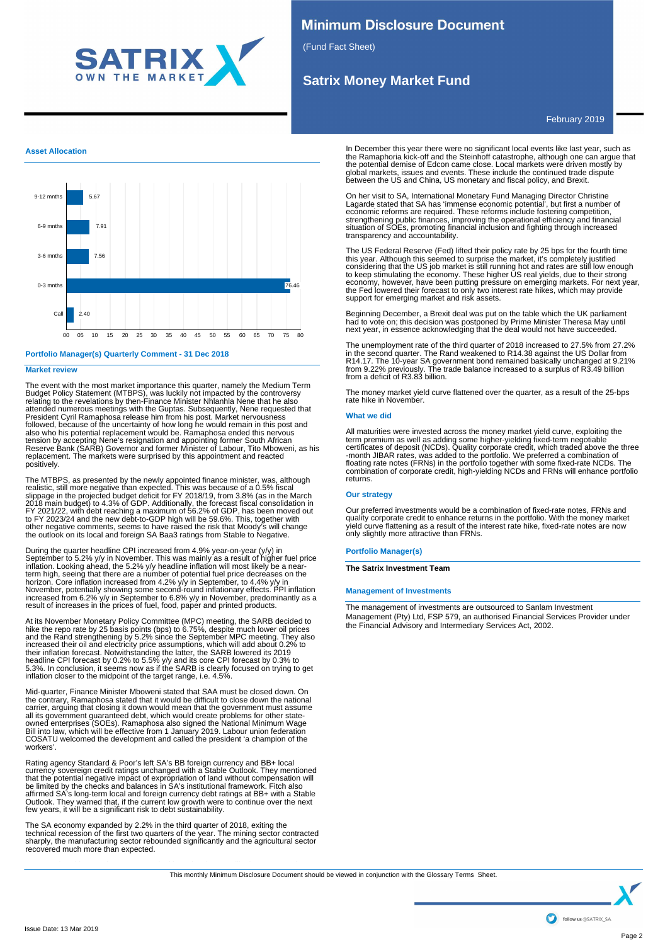

# **Minimum Disclosure Document**

(Fund Fact Sheet)

# **Satrix Money Market Fund**

February 2019

# **Asset Allocation**



**Portfolio Manager(s) Quarterly Comment - 31 Dec 2018**

# **Market review**

The event with the most market importance this quarter, namely the Medium Term<br>Budget Policy Statement (MTBPS), was luckliy not impacted by the controversy<br>relating to the revelations by then-Finance Minister Nhlanhla Nene President Cyril Ramaphosa release him from his post. Market nervousness followed, because of the uncertainty of how long he would remain in this post and also who his potential replacement would be. Ramaphosa ended this nervous<br>tension by accepting Nene's resignation and appointing former South African<br>Reserve Bank (SARB) Governor and former Minister of Labour, Tito Mboweni replacement. The markets were surprised by this appointment and reacted positively.

The MTBPS, as presented by the newly appointed finance minister, was, although realistic, still more negative than expected. This was because of a 0.5% fiscal<br>slippage in the projected budget deficit for FY 2018/19, from 3 other negative comments, seems to have raised the risk that Moody's will change the outlook on its local and foreign SA Baa3 ratings from Stable to Negative.

During the quarter headline CPI increased from 4.9% year-on-year (y/y) in<br>September to 5.2% y/y in November. This was mainly as a result of higher fuel price<br>inflation. Looking ahead, the 5.2% y/y headline inflation will m

At its November Monetary Policy Committee (MPC) meeting, the SARB decided to<br>hike the repo rate by 25 basis points (bps) to 6.75%, despite much lower oil prices<br>and the Rand strengthening by 5.2% since the September MPC me increased their oil and electricity price assumptions, which will add about 0.2% to<br>their inflation forecast. Notwithstanding the latter, the SARB lowered its 2019<br>headline CPI forecast by 0.2% to 5.5% y/y and its core CPI

Mid-quarter, Finance Minister Mboweni stated that SAA must be closed down. On the contrary, Ramaphosa stated that it would be difficult to close down the national carrier, arguing that closing it down would mean that the g COSATU welcomed the development and called the president 'a champion of the workers'.

Rating agency Standard & Poor's left SA's BB foreign currency and BB+ local<br>currency sovereign credit ratings unchanged with a Stable Outlook. They mentioned<br>that the potential negative impact of expropriation of land with

The SA economy expanded by 2.2% in the third quarter of 2018, exiting the technical recession of the first two quarters of the year. The mining sector contracted sharply, the manufacturing sector rebounded significantly and the agricultural sector recovered much more than expected.

In December this year there were no significant local events like last year, such as the Ramaphoria kick-off and the Steinhoff catastrophe, although one can argue that<br>the potential demise of Edcon came close. Local markets were driven mostly by<br>global markets, issues and events. These include the continue between the US and China, US monetary and fiscal policy, and Brexit.

On her visit to SA, International Monetary Fund Managing Director Christine Lagarde stated that SA has 'immense economic potential', but first a number of<br>economic reforms are required. These reforms include fostering competition,<br>strengthening public finances, improving the operational efficiency

The US Federal Reserve (Fed) lifted their policy rate by 25 bps for the fourth time<br>this year. Although this seemed to surprise the market, it's completely justified<br>considering that the US job market is still running hot support for emerging market and risk assets.

Beginning December, a Brexit deal was put on the table which the UK parliament<br>had to vote on; this decision was postponed by Prime Minister Theresa May until<br>next year, in essence acknowledging that the deal would not hav

The unemployment rate of the third quarter of 2018 increased to 27.5% from 27.2%<br>in the second quarter. The Rand weakened to R14.38 against the US Dollar from<br>R14.17. The 10-year SA government bond remained basically uncha

The money market yield curve flattened over the quarter, as a result of the 25-bps rate hike in November.

# **What we did**

All maturities were invested across the money market yield curve, exploiting the term premium as well as adding some higher-yielding fixed-term negotiable<br>certificates of deposit (NCDs). Quality corporate credit, which traded above the three-<br>-month JIBAR rates, was added to the portfolio. We preferred returns.

# **Our strategy**

Our preferred investments would be a combination of fixed-rate notes, FRNs and quality corporate credit to enhance returns in the portfolio. With the money market yield curve flattening as a result of the interest rate hike, fixed-rate notes are now only slightly more attractive than FRNs.

## **Portfolio Manager(s)**

**The Satrix Investment Team**

# **Management of Investments**

The management of investments are outsourced to Sanlam Investment Management (Pty) Ltd, FSP 579, an authorised Financial Services Provider under the Financial Advisory and Intermediary Services Act, 2002.

This monthly Minimum Disclosure Document should be viewed in conjunction with the Glossary Terms Sheet.